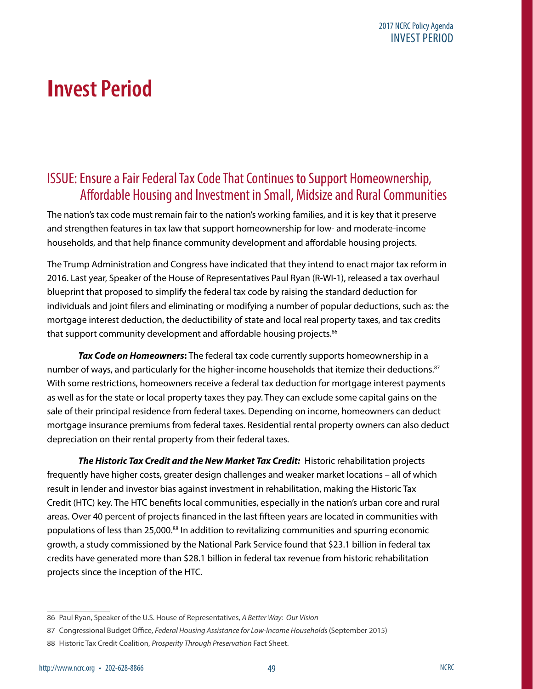# **Invest Period**

### ISSUE: Ensure a Fair Federal Tax Code That Continues to Support Homeownership, Affordable Housing and Investment in Small, Midsize and Rural Communities

The nation's tax code must remain fair to the nation's working families, and it is key that it preserve and strengthen features in tax law that support homeownership for low- and moderate-income households, and that help finance community development and affordable housing projects.

The Trump Administration and Congress have indicated that they intend to enact major tax reform in 2016. Last year, Speaker of the House of Representatives Paul Ryan (R-WI-1), released a tax overhaul blueprint that proposed to simplify the federal tax code by raising the standard deduction for individuals and joint filers and eliminating or modifying a number of popular deductions, such as: the mortgage interest deduction, the deductibility of state and local real property taxes, and tax credits that support community development and affordable housing projects.<sup>86</sup>

*Tax Code on Homeowners***:** The federal tax code currently supports homeownership in a number of ways, and particularly for the higher-income households that itemize their deductions.<sup>87</sup> With some restrictions, homeowners receive a federal tax deduction for mortgage interest payments as well as for the state or local property taxes they pay. They can exclude some capital gains on the sale of their principal residence from federal taxes. Depending on income, homeowners can deduct mortgage insurance premiums from federal taxes. Residential rental property owners can also deduct depreciation on their rental property from their federal taxes.

*The Historic Tax Credit and the New Market Tax Credit:* Historic rehabilitation projects frequently have higher costs, greater design challenges and weaker market locations – all of which result in lender and investor bias against investment in rehabilitation, making the Historic Tax Credit (HTC) key. The HTC benefits local communities, especially in the nation's urban core and rural areas. Over 40 percent of projects financed in the last fifteen years are located in communities with populations of less than 25,000.<sup>88</sup> In addition to revitalizing communities and spurring economic growth, a study commissioned by the National Park Service found that \$23.1 billion in federal tax credits have generated more than \$28.1 billion in federal tax revenue from historic rehabilitation projects since the inception of the HTC.

<sup>86</sup> Paul Ryan, Speaker of the U.S. House of Representatives, *A Better Way: Our Vision* 

<sup>87</sup> Congressional Budget Office, *Federal Housing Assistance for Low-Income Households* (September 2015)

<sup>88</sup> Historic Tax Credit Coalition, *Prosperity Through Preservation* Fact Sheet.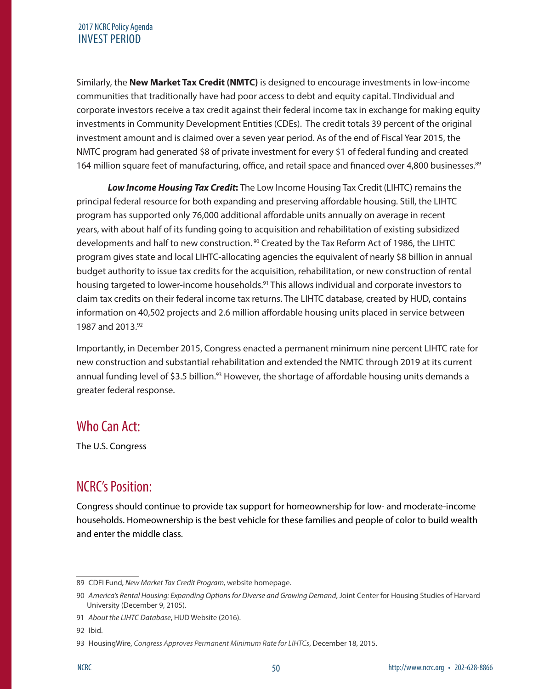#### 2017 NCRC Policy Agenda INVEST PERIOD

Similarly, the **New Market Tax Credit (NMTC)** is designed to encourage investments in low-income communities that traditionally have had poor access to debt and equity capital. TIndividual and corporate investors receive a tax credit against their federal income tax in exchange for making equity investments in Community Development Entities (CDEs). The credit totals 39 percent of the original investment amount and is claimed over a seven year period. As of the end of Fiscal Year 2015, the NMTC program had generated \$8 of private investment for every \$1 of federal funding and created 164 million square feet of manufacturing, office, and retail space and financed over 4,800 businesses.<sup>89</sup>

*Low Income Housing Tax Credit***:** The Low Income Housing Tax Credit (LIHTC) remains the principal federal resource for both expanding and preserving affordable housing. Still, the LIHTC program has supported only 76,000 additional affordable units annually on average in recent years, with about half of its funding going to acquisition and rehabilitation of existing subsidized developments and half to new construction.<sup>90</sup> Created by the Tax Reform Act of 1986, the LIHTC program gives [state and local LIHTC-allocating agencies](http://lihtc.huduser.gov/agency_list.htm) the equivalent of nearly \$8 billion in annual budget authority to issue tax credits for the acquisition, rehabilitation, or new construction of rental housing targeted to lower-income households.<sup>91</sup> This allows individual and corporate investors to claim tax credits on their federal income tax returns. The LIHTC database, created by HUD, contains information on 40,502 projects and 2.6 million affordable housing units placed in service between 1987 and 2013.92

Importantly, in December 2015, Congress enacted a permanent minimum nine percent LIHTC rate for new construction and substantial rehabilitation and extended the NMTC through 2019 at its current annual funding level of \$3.5 billion.<sup>93</sup> However, the shortage of affordable housing units demands a greater federal response.

### Who Can Act:

The U.S. Congress

# NCRC's Position:

Congress should continue to provide tax support for homeownership for low- and moderate-income households. Homeownership is the best vehicle for these families and people of color to build wealth and enter the middle class.

<sup>89</sup> CDFI Fund*, New Market Tax Credit Program,* website homepage.

<sup>90</sup> *America's Rental Housing: Expanding Options for Diverse and Growing Demand*, Joint Center for Housing Studies of Harvard University (December 9, 2105).

<sup>91</sup> *About the LIHTC Database*, HUD Website (2016).

<sup>92</sup> Ibid.

<sup>93</sup> HousingWire, *Congress Approves Permanent Minimum Rate for LIHTCs*, December 18, 2015.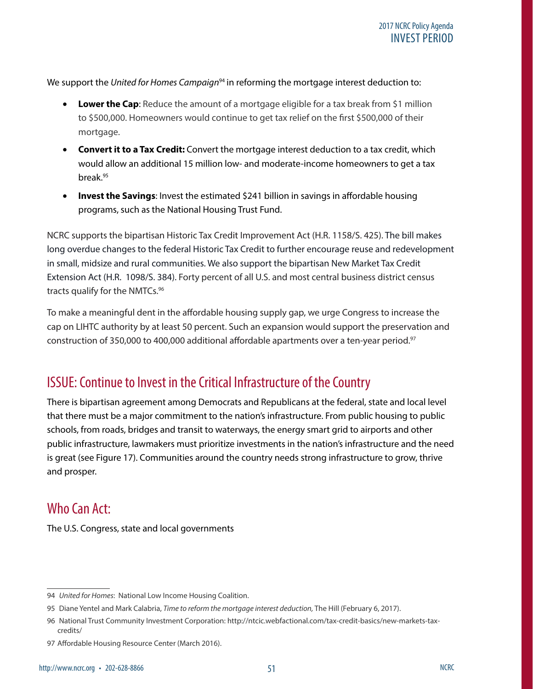We support the *United for Homes Campaign*<sup>94</sup> in reforming the mortgage interest deduction to:

- **Lower the Cap:** Reduce the amount of a mortgage eligible for a tax break from \$1 million to \$500,000. Homeowners would continue to get tax relief on the first \$500,000 of their mortgage.
- **Convert it to a Tax Credit:** Convert the mortgage interest deduction to a tax credit, which would allow an additional 15 million low- and moderate-income homeowners to get a tax break.95
- **Invest the Savings**: Invest the estimated \$241 billion in savings in affordable housing programs, such as the National Housing Trust Fund.

NCRC supports the bipartisan Historic Tax Credit Improvement Act (H.R. 1158/S. 425). The bill makes long overdue changes to the federal Historic Tax Credit to further encourage reuse and redevelopment in small, midsize and rural communities. We also support the bipartisan New Market Tax Credit Extension Act (H.R. 1098/S. 384). Forty percent of all U.S. and most central business district census tracts qualify for the NMTCs.<sup>96</sup>

To make a meaningful dent in the affordable housing supply gap, we urge Congress to increase the cap on LIHTC authority by at least 50 percent. Such an expansion would support the preservation and construction of 350,000 to 400,000 additional affordable apartments over a ten-year period.<sup>97</sup>

# ISSUE: Continue to Invest in the Critical Infrastructure of the Country

There is bipartisan agreement among Democrats and Republicans at the federal, state and local level that there must be a major commitment to the nation's infrastructure. From public housing to public schools, from roads, bridges and transit to waterways, the energy smart grid to airports and other public infrastructure, lawmakers must prioritize investments in the nation's infrastructure and the need is great (see Figure 17). Communities around the country needs strong infrastructure to grow, thrive and prosper.

### Who Can Act:

The U.S. Congress, state and local governments

<sup>94</sup> *United for Homes*: National Low Income Housing Coalition.

<sup>95</sup> Diane Yentel and Mark Calabria, *Time to reform the mortgage interest deduction,* The Hill (February 6, 2017).

<sup>96</sup> National Trust Community Investment Corporation: http://ntcic.webfactional.com/tax-credit-basics/new-markets-taxcredits/

<sup>97</sup> Affordable Housing Resource Center (March 2016).